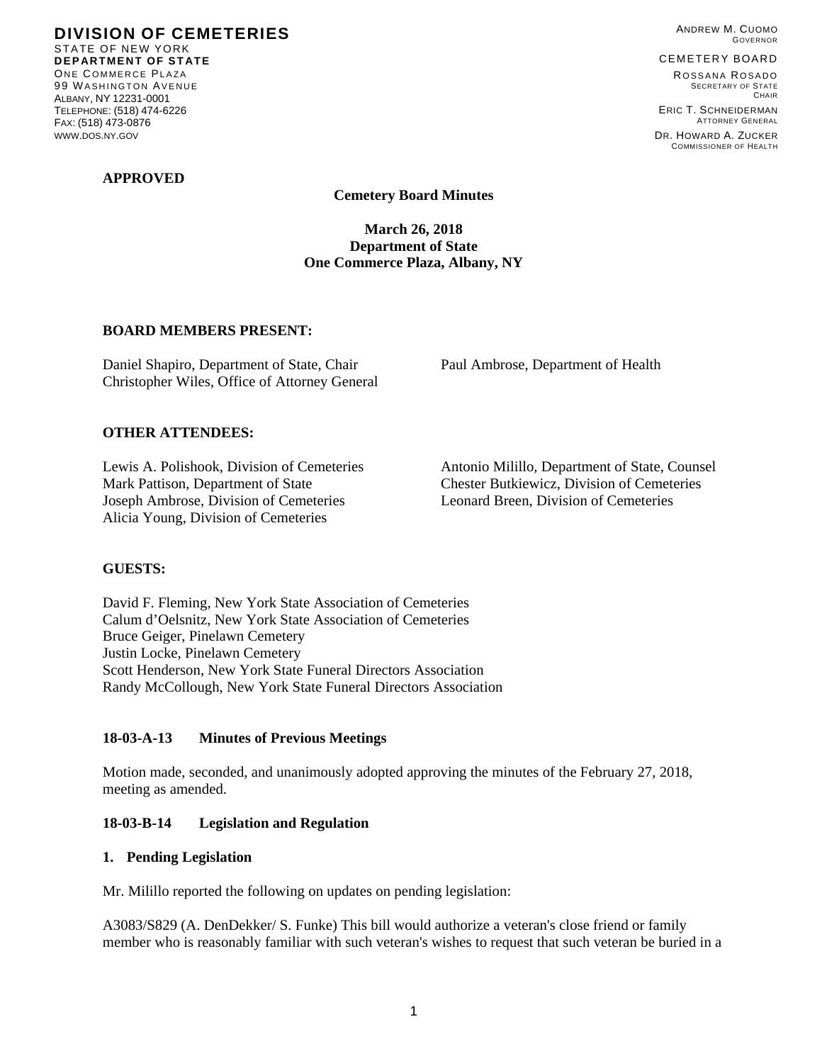**DIVISION OF CEMETERIES**  STATE OF NEW YORK **DEPARTMENT OF STATE**  ONE COMMERCE PLAZA 99 WASHINGTON AVENUE ALBANY, NY 12231-0001 TELEPHONE: (518) 474-6226 FAX: (518) 473-0876 WWW.DOS.NY.GOV

### **APPROVED**

ANDREW M. CUOMO GOVERNOR

#### CEMETERY BOARD

ROSSANA ROSADO SECRETARY OF STATE **CHAIR** ERIC T. SCHNEIDERMAN

ATTORNEY GENERAL DR. HOWARD A. ZUCKER COMMISSIONER OF HEALTH

**Cemetery Board Minutes** 

**March 26, 2018 Department of State One Commerce Plaza, Albany, NY** 

### **BOARD MEMBERS PRESENT:**

Daniel Shapiro, Department of State, Chair Paul Ambrose, Department of Health Christopher Wiles, Office of Attorney General

## **OTHER ATTENDEES:**

Mark Pattison, Department of State Chester Butkiewicz, Division of Cemeteries Joseph Ambrose, Division of Cemeteries Leonard Breen, Division of Cemeteries Alicia Young, Division of Cemeteries

Lewis A. Polishook, Division of Cemeteries Antonio Milillo, Department of State, Counsel

## **GUESTS:**

David F. Fleming, New York State Association of Cemeteries Calum d'Oelsnitz, New York State Association of Cemeteries Bruce Geiger, Pinelawn Cemetery Justin Locke, Pinelawn Cemetery Scott Henderson, New York State Funeral Directors Association Randy McCollough, New York State Funeral Directors Association

## **18-03-A-13 Minutes of Previous Meetings**

Motion made, seconded, and unanimously adopted approving the minutes of the February 27, 2018, meeting as amended.

## **18-03-B-14 Legislation and Regulation**

### **1. Pending Legislation**

Mr. Milillo reported the following on updates on pending legislation:

A3083/S829 (A. DenDekker/ S. Funke) This bill would authorize a veteran's close friend or family member who is reasonably familiar with such veteran's wishes to request that such veteran be buried in a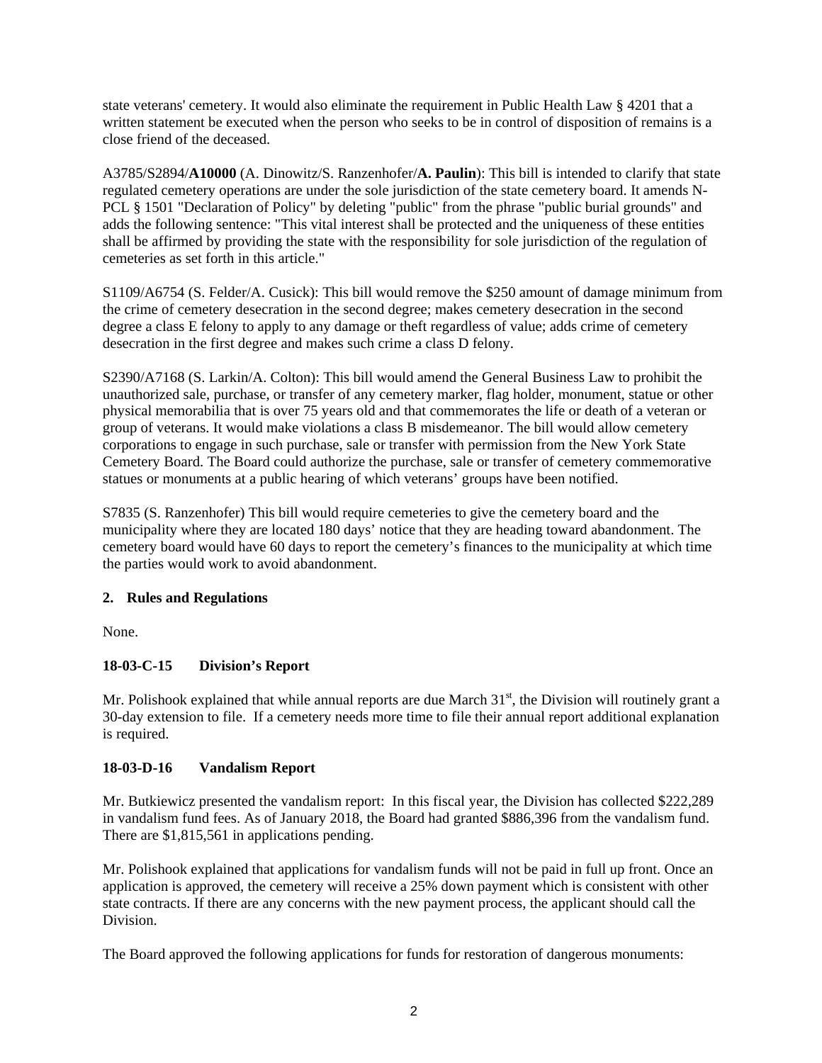state veterans' cemetery. It would also eliminate the requirement in Public Health Law § 4201 that a written statement be executed when the person who seeks to be in control of disposition of remains is a close friend of the deceased.

A3785/S2894/**A10000** (A. Dinowitz/S. Ranzenhofer/**A. Paulin**): This bill is intended to clarify that state regulated cemetery operations are under the sole jurisdiction of the state cemetery board. It amends N-PCL § 1501 "Declaration of Policy" by deleting "public" from the phrase "public burial grounds" and adds the following sentence: "This vital interest shall be protected and the uniqueness of these entities shall be affirmed by providing the state with the responsibility for sole jurisdiction of the regulation of cemeteries as set forth in this article."

S1109/A6754 (S. Felder/A. Cusick): This bill would remove the \$250 amount of damage minimum from the crime of cemetery desecration in the second degree; makes cemetery desecration in the second degree a class E felony to apply to any damage or theft regardless of value; adds crime of cemetery desecration in the first degree and makes such crime a class D felony.

S2390/A7168 (S. Larkin/A. Colton): This bill would amend the General Business Law to prohibit the unauthorized sale, purchase, or transfer of any cemetery marker, flag holder, monument, statue or other physical memorabilia that is over 75 years old and that commemorates the life or death of a veteran or group of veterans. It would make violations a class B misdemeanor. The bill would allow cemetery corporations to engage in such purchase, sale or transfer with permission from the New York State Cemetery Board. The Board could authorize the purchase, sale or transfer of cemetery commemorative statues or monuments at a public hearing of which veterans' groups have been notified.

S7835 (S. Ranzenhofer) This bill would require cemeteries to give the cemetery board and the municipality where they are located 180 days' notice that they are heading toward abandonment. The cemetery board would have 60 days to report the cemetery's finances to the municipality at which time the parties would work to avoid abandonment.

# **2. Rules and Regulations**

None.

# **18-03-C-15 Division's Report**

Mr. Polishook explained that while annual reports are due March  $31<sup>st</sup>$ , the Division will routinely grant a 30-day extension to file. If a cemetery needs more time to file their annual report additional explanation is required.

## **18-03-D-16 Vandalism Report**

Mr. Butkiewicz presented the vandalism report: In this fiscal year, the Division has collected \$222,289 in vandalism fund fees. As of January 2018, the Board had granted \$886,396 from the vandalism fund. There are \$1,815,561 in applications pending.

Mr. Polishook explained that applications for vandalism funds will not be paid in full up front. Once an application is approved, the cemetery will receive a 25% down payment which is consistent with other state contracts. If there are any concerns with the new payment process, the applicant should call the Division.

The Board approved the following applications for funds for restoration of dangerous monuments: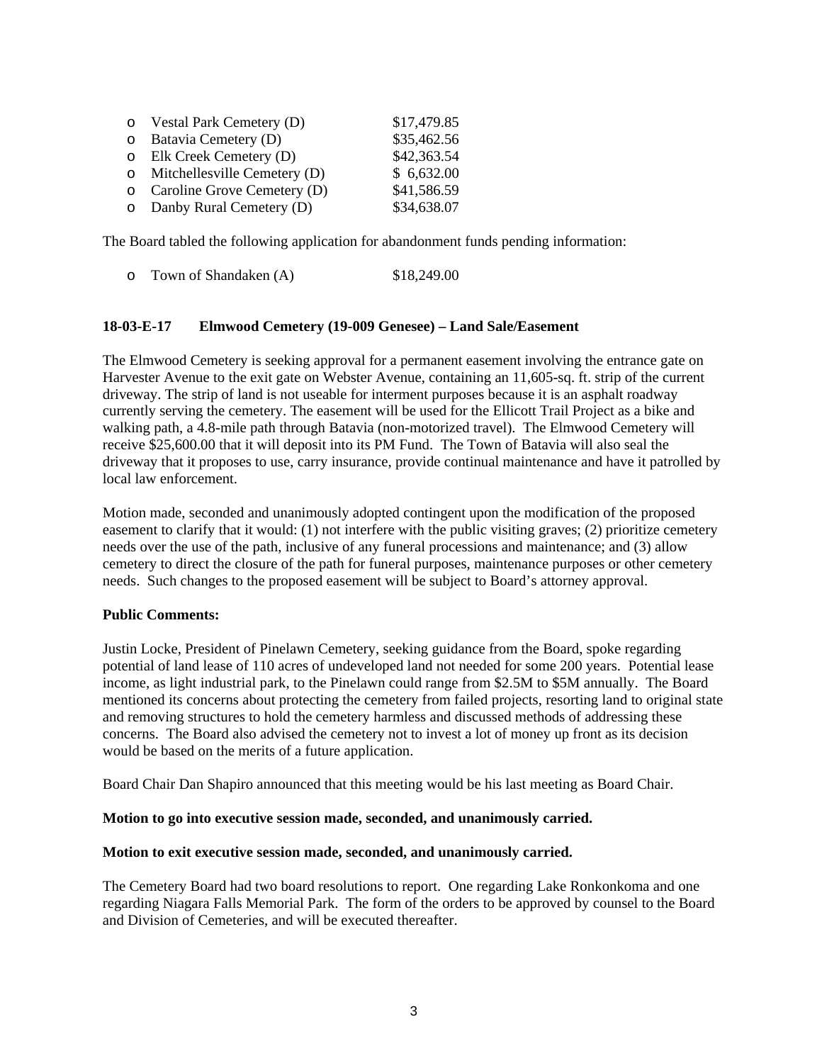| o Vestal Park Cemetery (D)           | \$17,479.85 |
|--------------------------------------|-------------|
| $\circ$ Batavia Cemetery (D)         | \$35,462.56 |
| $\circ$ Elk Creek Cemetery (D)       | \$42,363.54 |
| $\circ$ Mitchellesville Cemetery (D) | \$6,632.00  |
| $\circ$ Caroline Grove Cemetery (D)  | \$41,586.59 |
| o Danby Rural Cemetery (D)           | \$34,638.07 |

The Board tabled the following application for abandonment funds pending information:

| $\circ$ | Town of Shandaken (A) | \$18,249.00 |
|---------|-----------------------|-------------|
|---------|-----------------------|-------------|

### **18-03-E-17 Elmwood Cemetery (19-009 Genesee) – Land Sale/Easement**

The Elmwood Cemetery is seeking approval for a permanent easement involving the entrance gate on Harvester Avenue to the exit gate on Webster Avenue, containing an 11,605-sq. ft. strip of the current driveway. The strip of land is not useable for interment purposes because it is an asphalt roadway currently serving the cemetery. The easement will be used for the Ellicott Trail Project as a bike and walking path, a 4.8-mile path through Batavia (non-motorized travel). The Elmwood Cemetery will receive \$25,600.00 that it will deposit into its PM Fund. The Town of Batavia will also seal the driveway that it proposes to use, carry insurance, provide continual maintenance and have it patrolled by local law enforcement.

Motion made, seconded and unanimously adopted contingent upon the modification of the proposed easement to clarify that it would: (1) not interfere with the public visiting graves; (2) prioritize cemetery needs over the use of the path, inclusive of any funeral processions and maintenance; and (3) allow cemetery to direct the closure of the path for funeral purposes, maintenance purposes or other cemetery needs. Such changes to the proposed easement will be subject to Board's attorney approval.

### **Public Comments:**

Justin Locke, President of Pinelawn Cemetery, seeking guidance from the Board, spoke regarding potential of land lease of 110 acres of undeveloped land not needed for some 200 years. Potential lease income, as light industrial park, to the Pinelawn could range from \$2.5M to \$5M annually. The Board mentioned its concerns about protecting the cemetery from failed projects, resorting land to original state and removing structures to hold the cemetery harmless and discussed methods of addressing these concerns. The Board also advised the cemetery not to invest a lot of money up front as its decision would be based on the merits of a future application.

Board Chair Dan Shapiro announced that this meeting would be his last meeting as Board Chair.

### **Motion to go into executive session made, seconded, and unanimously carried.**

### **Motion to exit executive session made, seconded, and unanimously carried.**

The Cemetery Board had two board resolutions to report. One regarding Lake Ronkonkoma and one regarding Niagara Falls Memorial Park. The form of the orders to be approved by counsel to the Board and Division of Cemeteries, and will be executed thereafter.